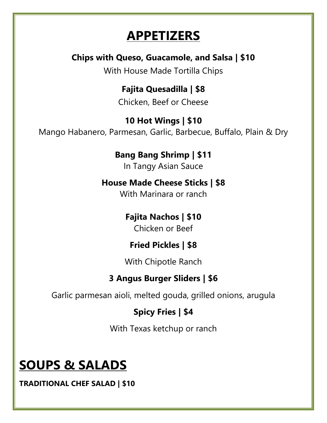## **APPETIZERS**

#### **Chips with Queso, Guacamole, and Salsa | \$10**

With House Made Tortilla Chips

# **Fajita Quesadilla | \$8**

Chicken, Beef or Cheese

#### **10 Hot Wings | \$10** Mango Habanero, Parmesan, Garlic, Barbecue, Buffalo, Plain & Dry

## **Bang Bang Shrimp | \$11**

In Tangy Asian Sauce

#### **House Made Cheese Sticks | \$8**

With Marinara or ranch

#### **Fajita Nachos | \$10**

Chicken or Beef

#### **Fried Pickles | \$8**

With Chipotle Ranch

#### **3 Angus Burger Sliders | \$6**

Garlic parmesan aioli, melted gouda, grilled onions, arugula

#### **Spicy Fries | \$4**

With Texas ketchup or ranch

# **SOUPS & SALADS**

**TRADITIONAL CHEF SALAD | \$10**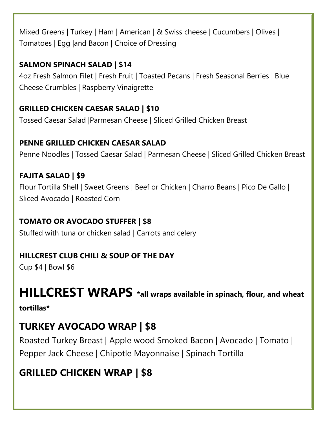Mixed Greens | Turkey | Ham | American | & Swiss cheese | Cucumbers | Olives | Tomatoes | Egg |and Bacon | Choice of Dressing

#### **SALMON SPINACH SALAD | \$14**

4oz Fresh Salmon Filet | Fresh Fruit | Toasted Pecans | Fresh Seasonal Berries | Blue Cheese Crumbles | Raspberry Vinaigrette

#### **GRILLED CHICKEN CAESAR SALAD | \$10**

Tossed Caesar Salad |Parmesan Cheese | Sliced Grilled Chicken Breast

#### **PENNE GRILLED CHICKEN CAESAR SALAD**

Penne Noodles | Tossed Caesar Salad | Parmesan Cheese | Sliced Grilled Chicken Breast

#### **FAJITA SALAD | \$9**

Flour Tortilla Shell | Sweet Greens | Beef or Chicken | Charro Beans | Pico De Gallo | Sliced Avocado | Roasted Corn

#### **TOMATO OR AVOCADO STUFFER | \$8**

Stuffed with tuna or chicken salad | Carrots and celery

#### **HILLCREST CLUB CHILI & SOUP OF THE DAY**

Cup \$4 | Bowl \$6

# **HILLCREST WRAPS \*all wraps available in spinach, flour, and wheat**

#### **tortillas\***

### **TURKEY AVOCADO WRAP | \$8**

Roasted Turkey Breast | Apple wood Smoked Bacon | Avocado | Tomato | Pepper Jack Cheese | Chipotle Mayonnaise | Spinach Tortilla

### **GRILLED CHICKEN WRAP | \$8**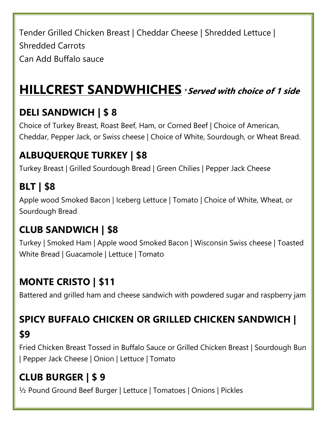Tender Grilled Chicken Breast | Cheddar Cheese | Shredded Lettuce | Shredded Carrots Can Add Buffalo sauce

# **HILLCREST SANDWHICHES** \***Served with choice of 1 side**

## **DELI SANDWICH | \$ 8**

Choice of Turkey Breast, Roast Beef, Ham, or Corned Beef | Choice of American, Cheddar, Pepper Jack, or Swiss cheese | Choice of White, Sourdough, or Wheat Bread.

### **ALBUQUERQUE TURKEY | \$8**

Turkey Breast | Grilled Sourdough Bread | Green Chilies | Pepper Jack Cheese

## **BLT | \$8**

Apple wood Smoked Bacon | Iceberg Lettuce | Tomato | Choice of White, Wheat, or Sourdough Bread

### **CLUB SANDWICH | \$8**

Turkey | Smoked Ham | Apple wood Smoked Bacon | Wisconsin Swiss cheese | Toasted White Bread | Guacamole | Lettuce | Tomato

## **MONTE CRISTO | \$11**

Battered and grilled ham and cheese sandwich with powdered sugar and raspberry jam

### **SPICY BUFFALO CHICKEN OR GRILLED CHICKEN SANDWICH |**

#### **\$9**

Fried Chicken Breast Tossed in Buffalo Sauce or Grilled Chicken Breast | Sourdough Bun | Pepper Jack Cheese | Onion | Lettuce | Tomato

### **CLUB BURGER | \$ 9**

½ Pound Ground Beef Burger | Lettuce | Tomatoes | Onions | Pickles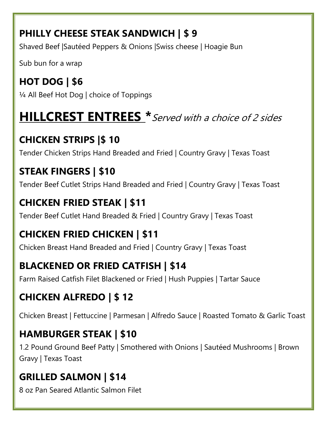### **PHILLY CHEESE STEAK SANDWICH | \$ 9**

Shaved Beef |Sautéed Peppers & Onions |Swiss cheese | Hoagie Bun

Sub bun for a wrap

#### **HOT DOG | \$6** ¼ All Beef Hot Dog | choice of Toppings

# **HILLCREST ENTREES \***Served with a choice of 2 sides

## **CHICKEN STRIPS |\$ 10**

Tender Chicken Strips Hand Breaded and Fried | Country Gravy | Texas Toast

## **STEAK FINGERS | \$10**

Tender Beef Cutlet Strips Hand Breaded and Fried | Country Gravy | Texas Toast

## **CHICKEN FRIED STEAK | \$11**

Tender Beef Cutlet Hand Breaded & Fried | Country Gravy | Texas Toast

## **CHICKEN FRIED CHICKEN | \$11**

Chicken Breast Hand Breaded and Fried | Country Gravy | Texas Toast

## **BLACKENED OR FRIED CATFISH | \$14**

Farm Raised Catfish Filet Blackened or Fried | Hush Puppies | Tartar Sauce

## **CHICKEN ALFREDO | \$ 12**

Chicken Breast | Fettuccine | Parmesan | Alfredo Sauce | Roasted Tomato & Garlic Toast

## **HAMBURGER STEAK | \$10**

1.2 Pound Ground Beef Patty | Smothered with Onions | Sautéed Mushrooms | Brown Gravy | Texas Toast

## **GRILLED SALMON | \$14**

8 oz Pan Seared Atlantic Salmon Filet